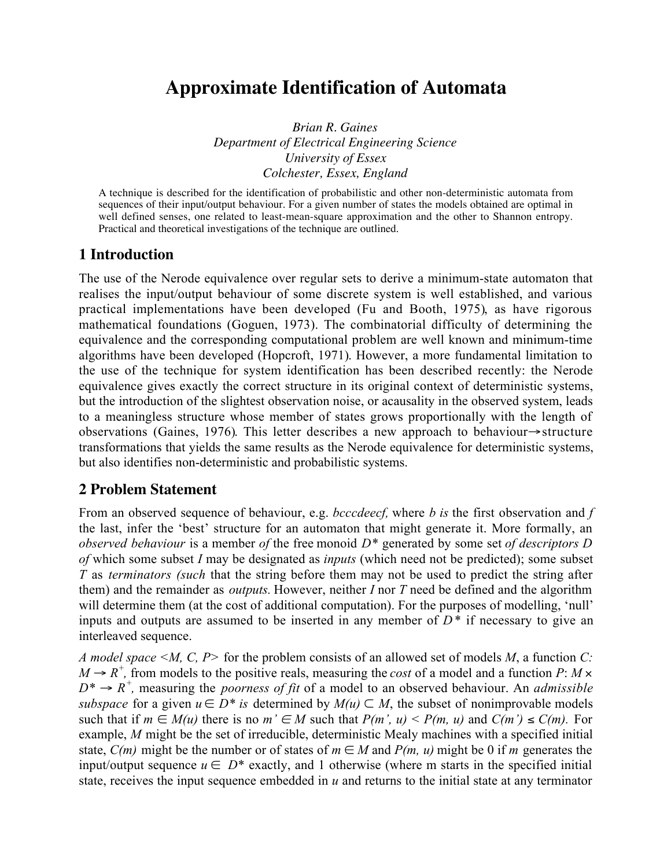# **Approximate Identification of Automata**

*Brian R. Gaines Department of Electrical Engineering Science University of Essex Colchester, Essex, England*

A technique is described for the identification of probabilistic and other non-deterministic automata from sequences of their input/output behaviour. For a given number of states the models obtained are optimal in well defined senses, one related to least-mean-square approximation and the other to Shannon entropy. Practical and theoretical investigations of the technique are outlined.

# **1 Introduction**

The use of the Nerode equivalence over regular sets to derive a minimum-state automaton that realises the input/output behaviour of some discrete system is well established, and various practical implementations have been developed (Fu and Booth, 1975), as have rigorous mathematical foundations (Goguen, 1973). The combinatorial difficulty of determining the equivalence and the corresponding computational problem are well known and minimum-time algorithms have been developed (Hopcroft, 1971). However, a more fundamental limitation to the use of the technique for system identification has been described recently: the Nerode equivalence gives exactly the correct structure in its original context of deterministic systems, but the introduction of the slightest observation noise, or acausality in the observed system, leads to a meaningless structure whose member of states grows proportionally with the length of observations (Gaines, 1976). This letter describes a new approach to behaviour→structure transformations that yields the same results as the Nerode equivalence for deterministic systems, but also identifies non-deterministic and probabilistic systems.

# **2 Problem Statement**

From an observed sequence of behaviour, e.g. *bcccdeecf,* where *b is* the first observation and *f* the last, infer the 'best' structure for an automaton that might generate it. More formally, an *observed behaviour* is a member *of* the free monoid *D\** generated by some set *of descriptors D of* which some subset *I* may be designated as *inputs* (which need not be predicted); some subset *T* as *terminators (such* that the string before them may not be used to predict the string after them) and the remainder as *outputs.* However, neither *I* nor *T* need be defined and the algorithm will determine them (at the cost of additional computation). For the purposes of modelling, 'null' inputs and outputs are assumed to be inserted in any member of *D\** if necessary to give an interleaved sequence.

*A model space <M, C, P>* for the problem consists of an allowed set of models *M*, a function *C:*  $M \rightarrow R^+$ , from models to the positive reals, measuring the *cost* of a model and a function *P*: *M* ×  $D^* \rightarrow R^+$ , measuring the *poorness of fit* of a model to an observed behaviour. An *admissible subspace* for a given  $u \in D^*$  *is* determined by  $M(u) \subset M$ , the subset of nonimprovable models such that if  $m \in M(u)$  there is no  $m' \in M$  such that  $P(m', u) < P(m, u)$  and  $C(m') \le C(m)$ . For example, *M* might be the set of irreducible, deterministic Mealy machines with a specified initial state,  $C(m)$  might be the number or of states of  $m \in M$  and  $P(m, u)$  might be 0 if *m* generates the input/output sequence  $u \in D^*$  exactly, and 1 otherwise (where m starts in the specified initial state, receives the input sequence embedded in *u* and returns to the initial state at any terminator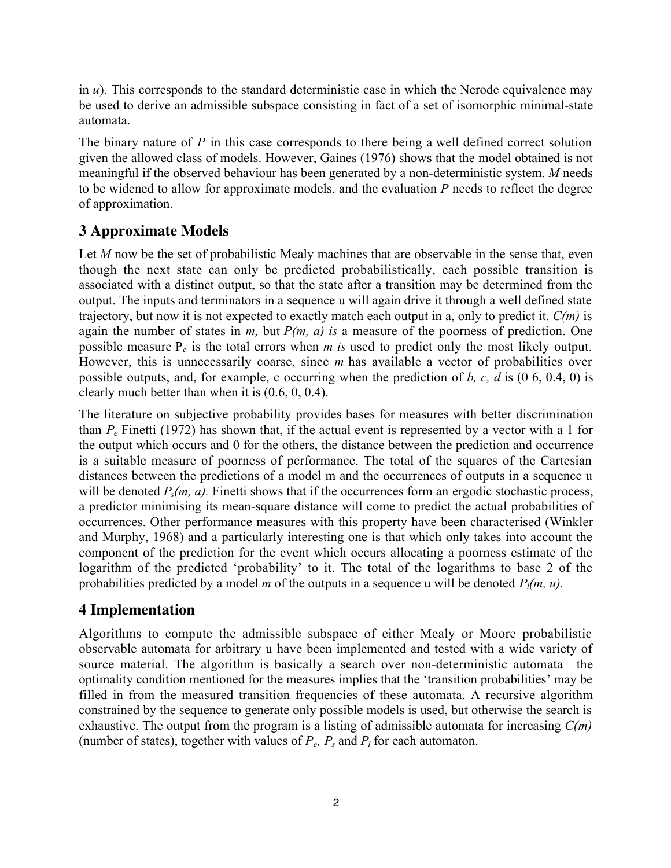in *u*). This corresponds to the standard deterministic case in which the Nerode equivalence may be used to derive an admissible subspace consisting in fact of a set of isomorphic minimal-state automata.

The binary nature of *P* in this case corresponds to there being a well defined correct solution given the allowed class of models. However, Gaines (1976) shows that the model obtained is not meaningful if the observed behaviour has been generated by a non-deterministic system. *M* needs to be widened to allow for approximate models, and the evaluation *P* needs to reflect the degree of approximation.

# **3 Approximate Models**

Let *M* now be the set of probabilistic Mealy machines that are observable in the sense that, even though the next state can only be predicted probabilistically, each possible transition is associated with a distinct output, so that the state after a transition may be determined from the output. The inputs and terminators in a sequence u will again drive it through a well defined state trajectory, but now it is not expected to exactly match each output in a, only to predict it. *C(m)* is again the number of states in *m,* but *P(m, a) is* a measure of the poorness of prediction. One possible measure  $P_e$  is the total errors when  $m$  is used to predict only the most likely output. However, this is unnecessarily coarse, since *m* has available a vector of probabilities over possible outputs, and, for example, c occurring when the prediction of *b, c, d* is (0 6, 0.4, 0) is clearly much better than when it is (0.6, 0, 0.4).

The literature on subjective probability provides bases for measures with better discrimination than *Pe* Finetti (1972) has shown that, if the actual event is represented by a vector with a 1 for the output which occurs and 0 for the others, the distance between the prediction and occurrence is a suitable measure of poorness of performance. The total of the squares of the Cartesian distances between the predictions of a model m and the occurrences of outputs in a sequence u will be denoted  $P_s(m, a)$ . Finetti shows that if the occurrences form an ergodic stochastic process, a predictor minimising its mean-square distance will come to predict the actual probabilities of occurrences. Other performance measures with this property have been characterised (Winkler and Murphy, 1968) and a particularly interesting one is that which only takes into account the component of the prediction for the event which occurs allocating a poorness estimate of the logarithm of the predicted 'probability' to it. The total of the logarithms to base 2 of the probabilities predicted by a model *m* of the outputs in a sequence u will be denoted  $P_l(m, u)$ .

## **4 Implementation**

Algorithms to compute the admissible subspace of either Mealy or Moore probabilistic observable automata for arbitrary u have been implemented and tested with a wide variety of source material. The algorithm is basically a search over non-deterministic automata—the optimality condition mentioned for the measures implies that the 'transition probabilities' may be filled in from the measured transition frequencies of these automata. A recursive algorithm constrained by the sequence to generate only possible models is used, but otherwise the search is exhaustive. The output from the program is a listing of admissible automata for increasing *C(m)* (number of states), together with values of  $P_e$ ,  $P_s$  and  $P_l$  for each automaton.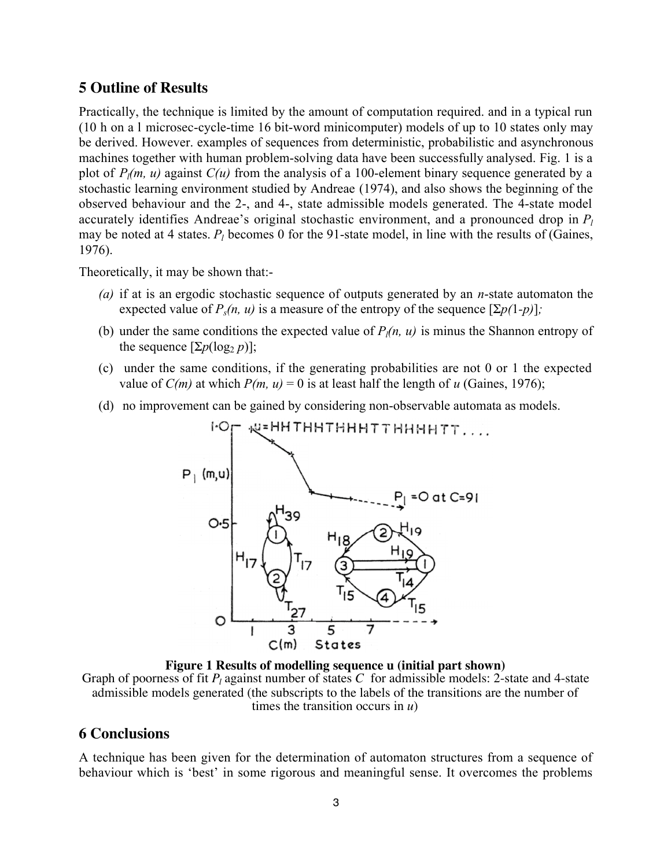## **5 Outline of Results**

Practically, the technique is limited by the amount of computation required. and in a typical run (10 h on a l microsec-cycle-time 16 bit-word minicomputer) models of up to 10 states only may be derived. However. examples of sequences from deterministic, probabilistic and asynchronous machines together with human problem-solving data have been successfully analysed. Fig. 1 is a plot of  $P_l(m, u)$  against  $C(u)$  from the analysis of a 100-element binary sequence generated by a stochastic learning environment studied by Andreae (1974), and also shows the beginning of the observed behaviour and the 2-, and 4-, state admissible models generated. The 4-state model accurately identifies Andreae's original stochastic environment, and a pronounced drop in *Pl* may be noted at 4 states.  $P_l$  becomes 0 for the 91-state model, in line with the results of (Gaines, 1976).

Theoretically, it may be shown that:-

- *(a)* if at is an ergodic stochastic sequence of outputs generated by an *n*-state automaton the expected value of  $P_s(n, u)$  is a measure of the entropy of the sequence  $[\Sigma p(1-p)]$ ;
- (b) under the same conditions the expected value of  $P_l(n, u)$  is minus the Shannon entropy of the sequence  $[\Sigma p(\log_2 p)]$ ;
- (c) under the same conditions, if the generating probabilities are not 0 or 1 the expected value of *C(m)* at which  $P(m, u) = 0$  is at least half the length of *u* (Gaines, 1976);
- (d) no improvement can be gained by considering non-observable automata as models.



**Figure 1 Results of modelling sequence u (initial part shown)** Graph of poorness of fit  $P_l$  against number of states C for admissible models: 2-state and 4-state admissible models generated (the subscripts to the labels of the transitions are the number of times the transition occurs in *u*)

#### **6 Conclusions**

A technique has been given for the determination of automaton structures from a sequence of behaviour which is 'best' in some rigorous and meaningful sense. It overcomes the problems